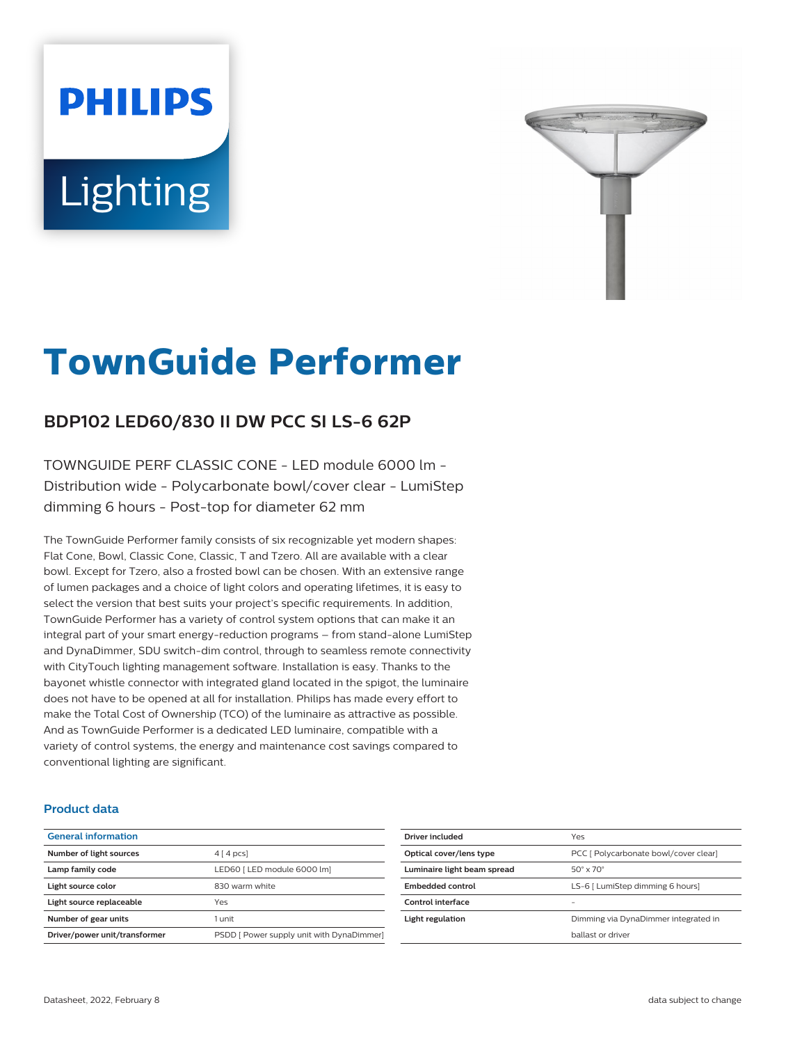# **PHILIPS** Lighting



# **TownGuide Performer**

# **BDP102 LED60/830 II DW PCC SI LS-6 62P**

TOWNGUIDE PERF CLASSIC CONE - LED module 6000 lm - Distribution wide - Polycarbonate bowl/cover clear - LumiStep dimming 6 hours - Post-top for diameter 62 mm

The TownGuide Performer family consists of six recognizable yet modern shapes: Flat Cone, Bowl, Classic Cone, Classic, T and Tzero. All are available with a clear bowl. Except for Tzero, also a frosted bowl can be chosen. With an extensive range of lumen packages and a choice of light colors and operating lifetimes, it is easy to select the version that best suits your project's specific requirements. In addition, TownGuide Performer has a variety of control system options that can make it an integral part of your smart energy-reduction programs – from stand-alone LumiStep and DynaDimmer, SDU switch-dim control, through to seamless remote connectivity with CityTouch lighting management software. Installation is easy. Thanks to the bayonet whistle connector with integrated gland located in the spigot, the luminaire does not have to be opened at all for installation. Philips has made every effort to make the Total Cost of Ownership (TCO) of the luminaire as attractive as possible. And as TownGuide Performer is a dedicated LED luminaire, compatible with a variety of control systems, the energy and maintenance cost savings compared to conventional lighting are significant.

### **Product data**

| $4 \mid 4 \mid pcs$                       |
|-------------------------------------------|
| LED60   LED module 6000 lm]               |
| 830 warm white                            |
| Yes                                       |
| 1 unit                                    |
| PSDD [ Power supply unit with DynaDimmer] |
|                                           |

| Driver included             | Yes                                   |
|-----------------------------|---------------------------------------|
| Optical cover/lens type     | PCC [ Polycarbonate bowl/cover clear] |
| Luminaire light beam spread | $50^\circ \times 70^\circ$            |
| Embedded control            | LS-6   LumiStep dimming 6 hours]      |
| Control interface           |                                       |
| Light regulation            | Dimming via DynaDimmer integrated in  |
|                             | hallast or driver                     |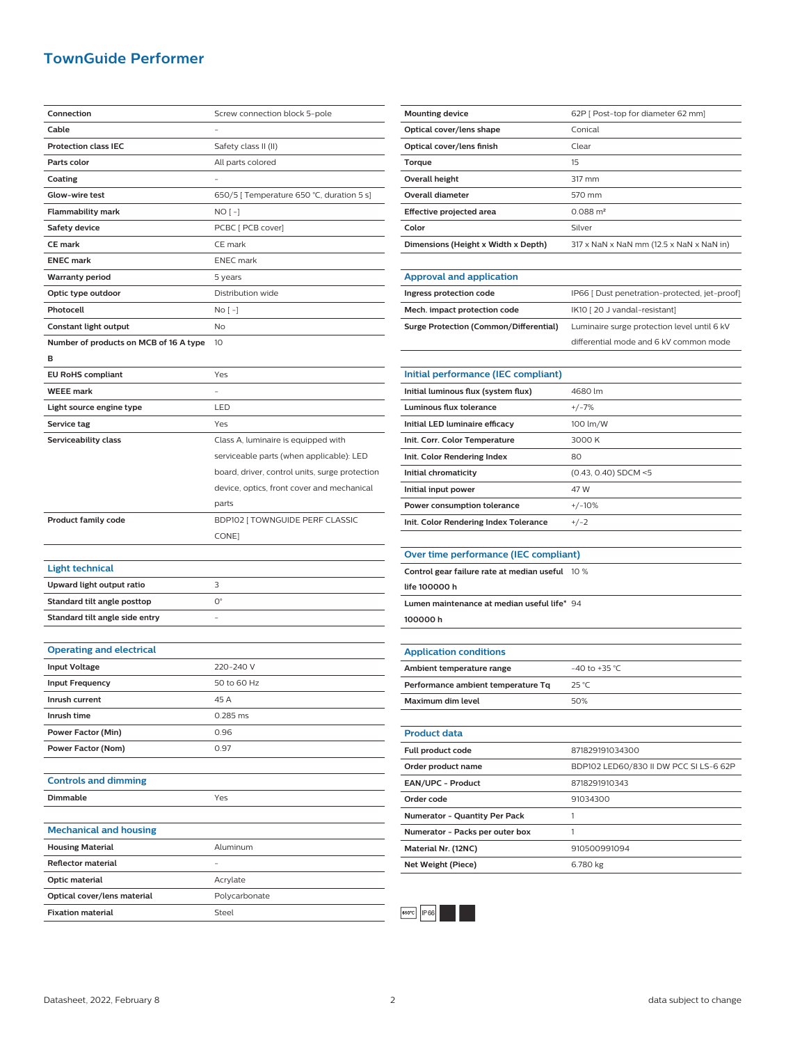## **TownGuide Performer**

| Connection                                              | Screw connection block 5-pole                  |
|---------------------------------------------------------|------------------------------------------------|
| Cable                                                   |                                                |
| <b>Protection class IEC</b>                             | Safety class II (II)                           |
| Parts color                                             | All parts colored                              |
| Coating                                                 |                                                |
| Glow-wire test                                          | 650/5 [ Temperature 650 °C, duration 5 s]      |
| Flammability mark                                       | NO [ -]                                        |
| Safety device                                           | PCBC [ PCB cover]                              |
| <b>CE</b> mark                                          | CE mark                                        |
| <b>ENEC mark</b>                                        | <b>ENEC</b> mark                               |
| <b>Warranty period</b>                                  | 5 years                                        |
| Optic type outdoor                                      | Distribution wide                              |
| Photocell                                               | No [ -]                                        |
| Constant light output                                   | No                                             |
| Number of products on MCB of 16 A type                  | 10                                             |
| в                                                       |                                                |
| <b>EU RoHS compliant</b>                                | Yes                                            |
| <b>WEEE</b> mark                                        |                                                |
| Light source engine type                                | LED                                            |
| Service tag                                             | Yes                                            |
| Serviceability class                                    | Class A, luminaire is equipped with            |
|                                                         | serviceable parts (when applicable): LED       |
|                                                         | board, driver, control units, surge protection |
|                                                         | device, optics, front cover and mechanical     |
|                                                         | parts                                          |
|                                                         |                                                |
|                                                         |                                                |
| <b>Product family code</b>                              | BDP102 [ TOWNGUIDE PERF CLASSIC                |
|                                                         | CONE]                                          |
|                                                         |                                                |
| <b>Light technical</b>                                  |                                                |
| Upward light output ratio                               | 3                                              |
| Standard tilt angle posttop                             | $O^{\circ}$                                    |
| Standard tilt angle side entry                          |                                                |
|                                                         |                                                |
| <b>Operating and electrical</b>                         |                                                |
| <b>Input Voltage</b>                                    | 220-240 V                                      |
| <b>Input Frequency</b>                                  | 50 to 60 Hz                                    |
| Inrush current                                          | 45 A                                           |
| Inrush time                                             | 0.285 ms                                       |
| Power Factor (Min)                                      | 0.96                                           |
| Power Factor (Nom)                                      | 0.97                                           |
|                                                         |                                                |
| <b>Controls and dimming</b>                             |                                                |
| <b>Dimmable</b>                                         | Yes                                            |
|                                                         |                                                |
| <b>Mechanical and housing</b>                           |                                                |
| <b>Housing Material</b>                                 | Aluminum                                       |
| <b>Reflector material</b>                               |                                                |
| Optic material                                          | Acrylate                                       |
| Optical cover/lens material<br><b>Fixation material</b> | Polycarbonate<br>Steel                         |

| <b>Mounting device</b>              | 62P   Post-top for diameter 62 mm]       |
|-------------------------------------|------------------------------------------|
| Optical cover/lens shape            | Conical                                  |
| Optical cover/lens finish           | Clear                                    |
| Torque                              | 15                                       |
| Overall height                      | 317 mm                                   |
| Overall diameter                    | 570 mm                                   |
| Effective projected area            | $0.088 \text{ m}^2$                      |
| Color                               | Silver                                   |
| Dimensions (Height x Width x Depth) | 317 x NaN x NaN mm (12.5 x NaN x NaN in) |
|                                     |                                          |

| <b>Approval and application</b>               |                                               |
|-----------------------------------------------|-----------------------------------------------|
| Ingress protection code                       | IP66 [ Dust penetration-protected, jet-proof] |
| Mech. impact protection code                  | IK10 [20 J vandal-resistant]                  |
| <b>Surge Protection (Common/Differential)</b> | Luminaire surge protection level until 6 kV   |
|                                               | differential mode and 6 kV common mode        |

| Initial performance (IEC compliant)   |                        |
|---------------------------------------|------------------------|
| Initial luminous flux (system flux)   | 4680 lm                |
| Luminous flux tolerance               | $+/-7%$                |
| Initial LED luminaire efficacy        | 100 lm/W               |
| Init. Corr. Color Temperature         | 3000 K                 |
| Init. Color Rendering Index           | 80                     |
| Initial chromaticity                  | $(0.43, 0.40)$ SDCM <5 |
| Initial input power                   | 47 W                   |
| Power consumption tolerance           | $+/-10%$               |
| Init. Color Rendering Index Tolerance | $+/-2$                 |

#### **Over time performance (IEC compliant)**

| Control gear failure rate at median useful 10 % |  |
|-------------------------------------------------|--|
| life 100000 h                                   |  |
| Lumen maintenance at median useful life* 94     |  |
| 100000h                                         |  |

**Application conditions Ambient temperature range**  $-40$  to +35 °C **Performance ambient temperature Tq** 25 °C **Maximum dim level** 50% **Product data**

| <b>Full product code</b>             | 871829191034300                        |
|--------------------------------------|----------------------------------------|
| Order product name                   | BDP102 LED60/830 II DW PCC SI LS-6 62P |
| EAN/UPC - Product                    | 8718291910343                          |
| Order code                           | 91034300                               |
| <b>Numerator - Quantity Per Pack</b> |                                        |
| Numerator - Packs per outer box      |                                        |
| Material Nr. (12NC)                  | 910500991094                           |
| Net Weight (Piece)                   | 6.780 kg                               |
|                                      |                                        |